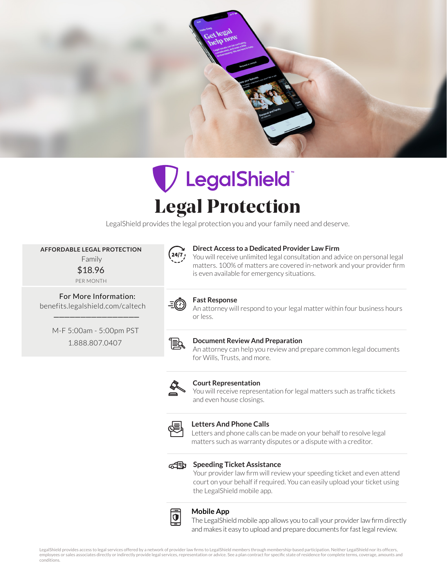

# VLegalShield Legal Protection

LegalShield provides the legal protection you and your family need and deserve.

 **AFFORDABLE LEGAL PROTECTION** Family

\$18.96 PER MONTH

 For More Information: benefits.legalshield.com/caltech \_\_\_\_\_\_\_\_\_\_\_\_\_\_\_\_

> M-F 5:00am - 5:00pm PST 1.888.807.0407



# **Direct Access to a Dedicated Provider Law Firm**

You will receive unlimited legal consultation and advice on personal legal matters. 100% of matters are covered in-network and your provider firm is even available for emergency situations.



# **Fast Response**

An attorney will respond to your legal matter within four business hours or less.



# **Document Review And Preparation**

An attorney can help you review and prepare common legal documents for Wills, Trusts, and more.



#### **Court Representation**

You will receive representation for legal matters such as traffic tickets and even house closings.



# **Letters And Phone Calls**

Letters and phone calls can be made on your behalf to resolve legal matters such as warranty disputes or a dispute with a creditor.



## **Speeding Ticket Assistance**

Your provider law firm will review your speeding ticket and even attend court on your behalf if required. You can easily upload your ticket using the LegalShield mobile app.



# **Mobile App**

The LegalShield mobile app allows you to call your provider law firm directly and makes it easy to upload and prepare documents for fast legal review.

LegalShield provides access to legal services offered by a network of provider law firms to LegalShield members through membership-based participation. Neither LegalShield nor its officers, employees or sales associates directly or indirectly provide legal services, representation or advice. See a plan contract for specific state of residence for complete terms, coverage, amounts and conditions.